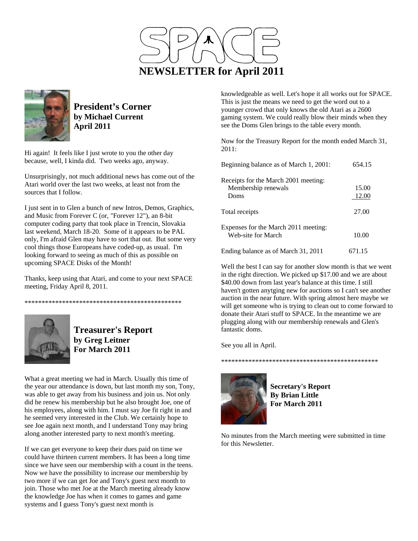



**President's Corner by Michael Current April 2011**

Hi again! It feels like I just wrote to you the other day because, well, I kinda did. Two weeks ago, anyway.

Unsurprisingly, not much additional news has come out of the Atari world over the last two weeks, at least not from the sources that I follow.

I just sent in to Glen a bunch of new Intros, Demos, Graphics, and Music from Forever C (or, "Forever 12"), an 8-bit computer coding party that took place in Trencin, Slovakia last weekend, March 18-20. Some of it appears to be PAL only, I'm afraid Glen may have to sort that out. But some very cool things those Europeans have coded-up, as usual. I'm looking forward to seeing as much of this as possible on upcoming SPACE Disks of the Month!

Thanks, keep using that Atari, and come to your next SPACE meeting, Friday April 8, 2011.

\*\*\*\*\*\*\*\*\*\*\*\*\*\*\*\*\*\*\*\*\*\*\*\*\*\*\*\*\*\*\*\*\*\*\*\*\*\*\*\*\*\*\*\*\*\*



**Treasurer's Report by Greg Leitner For March 2011** 

What a great meeting we had in March. Usually this time of the year our attendance is down, but last month my son, Tony, was able to get away from his business and join us. Not only did he renew his membership but he also brought Joe, one of his employees, along with him. I must say Joe fit right in and he seemed very interested in the Club. We certainly hope to see Joe again next month, and I understand Tony may bring along another interested party to next month's meeting.

If we can get everyone to keep their dues paid on time we could have thirteen current members. It has been a long time since we have seen our membership with a count in the teens. Now we have the possibility to increase our membership by two more if we can get Joe and Tony's guest next month to join. Those who met Joe at the March meeting already know the knowledge Joe has when it comes to games and game systems and I guess Tony's guest next month is

knowledgeable as well. Let's hope it all works out for SPACE. This is just the means we need to get the word out to a younger crowd that only knows the old Atari as a 2600 gaming system. We could really blow their minds when they see the Doms Glen brings to the table every month.

Now for the Treasury Report for the month ended March 31, 2011:

| Beginning balance as of March 1, 2001:                              | 654.15         |
|---------------------------------------------------------------------|----------------|
| Receipts for the March 2001 meeting:<br>Membership renewals<br>Doms | 15.00<br>12.00 |
| Total receipts                                                      | 27.00          |
| Expenses for the March 2011 meeting:<br>Web-site for March          | 10.00          |
| Ending balance as of March 31, 2011                                 | 671.15         |

Well the best I can say for another slow month is that we went in the right direction. We picked up \$17.00 and we are about \$40.00 down from last year's balance at this time. I still haven't gotten anytging new for auctions so I can't see another auction in the near future. With spring almost here maybe we will get someone who is trying to clean out to come forward to donate their Atari stuff to SPACE. In the meantime we are plugging along with our membership renewals and Glen's fantastic doms.

See you all in April.

## \*\*\*\*\*\*\*\*\*\*\*\*\*\*\*\*\*\*\*\*\*\*\*\*\*\*\*\*\*\*\*\*\*\*\*\*\*\*\*\*\*\*\*\*\*\*



**Secretary's Report By Brian Little For March 2011** 

No minutes from the March meeting were submitted in time for this Newsletter.